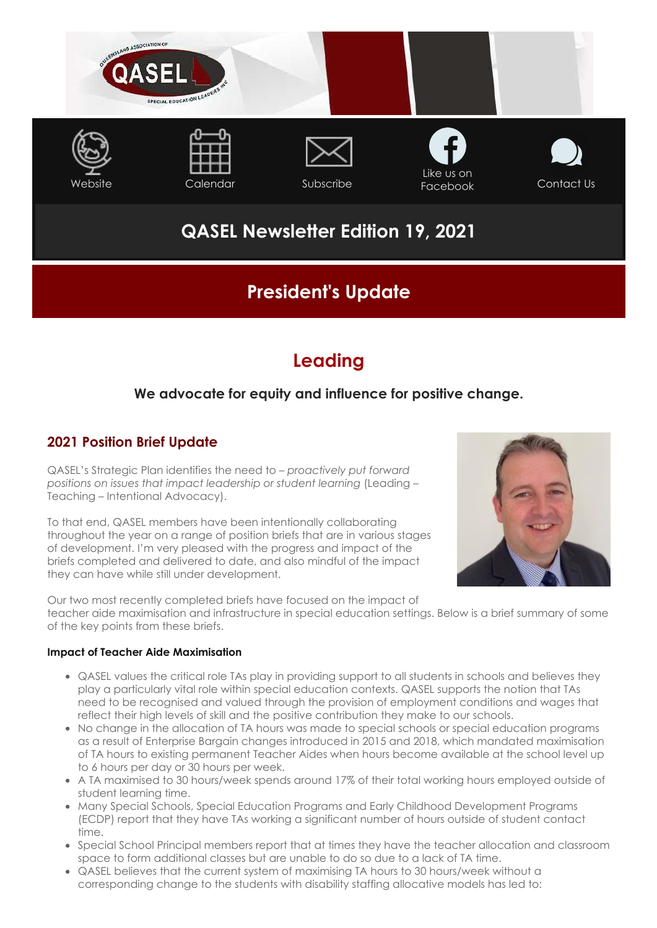

# **QASEL Newsletter Edition 19, 2021**

## **President's Update**

## **Leading**

## **We advocate for equity and influence for positive change.**

### **2021 Position Brief Update**

QASEL's Strategic Plan identifies the need to – *proactively put forward positions on issues that impact leadership or student learning* (Leading – Teaching – Intentional Advocacy).

To that end, QASEL members have been intentionally collaborating throughout the year on a range of position briefs that are in various stages of development. I'm very pleased with the progress and impact of the briefs completed and delivered to date, and also mindful of the impact they can have while still under development.



Our two most recently completed briefs have focused on the impact of teacher aide maximisation and infrastructure in special education settings. Below is a brief summary of some of the key points from these briefs.

#### **Impact of Teacher Aide Maximisation**

- QASEL values the critical role TAs play in providing support to all students in schools and believes they play a particularly vital role within special education contexts. QASEL supports the notion that TAs need to be recognised and valued through the provision of employment conditions and wages that reflect their high levels of skill and the positive contribution they make to our schools.
- No change in the allocation of TA hours was made to special schools or special education programs as a result of Enterprise Bargain changes introduced in 2015 and 2018, which mandated maximisation of TA hours to existing permanent Teacher Aides when hours become available at the school level up to 6 hours per day or 30 hours per week.
- A TA maximised to 30 hours/week spends around 17% of their total working hours employed outside of student learning time.
- Many Special Schools, Special Education Programs and Early Childhood Development Programs (ECDP) report that they have TAs working a significant number of hours outside of student contact time.
- Special School Principal members report that at times they have the teacher allocation and classroom space to form additional classes but are unable to do so due to a lack of TA time.
- QASEL believes that the current system of maximising TA hours to 30 hours/week without a corresponding change to the students with disability staffing allocative models has led to: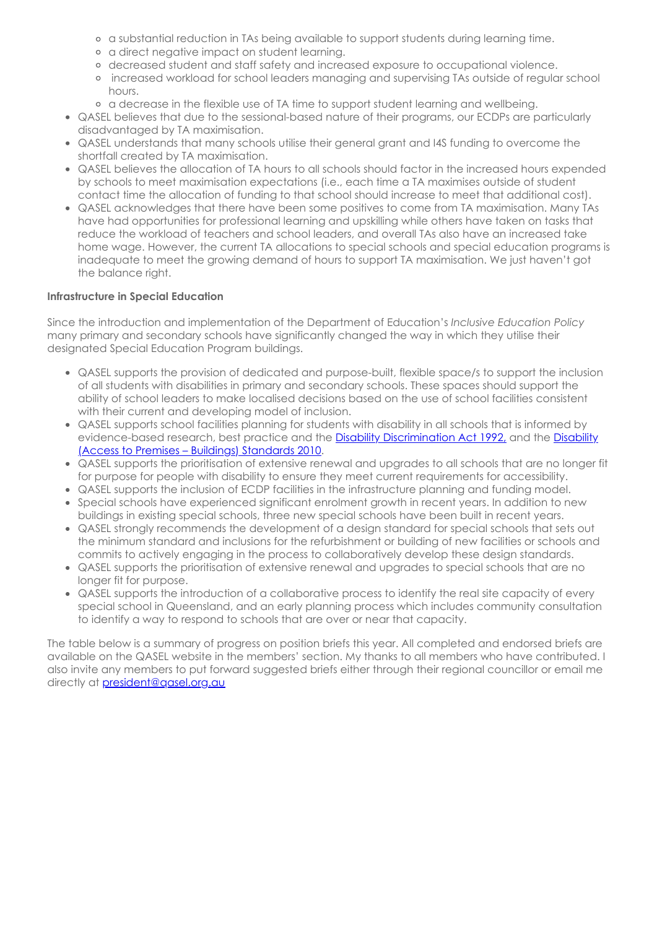- a substantial reduction in TAs being available to support students during learning time.
- a direct negative impact on student learning.
- decreased student and staff safety and increased exposure to occupational violence.
- increased workload for school leaders managing and supervising TAs outside of regular school hours.
- a decrease in the flexible use of TA time to support student learning and wellbeing.
- QASEL believes that due to the sessional-based nature of their programs, our ECDPs are particularly disadvantaged by TA maximisation.
- QASEL understands that many schools utilise their general grant and I4S funding to overcome the shortfall created by TA maximisation.
- QASEL believes the allocation of TA hours to all schools should factor in the increased hours expended by schools to meet maximisation expectations (i.e., each time a TA maximises outside of student contact time the allocation of funding to that school should increase to meet that additional cost).
- QASEL acknowledges that there have been some positives to come from TA maximisation. Many TAs have had opportunities for professional learning and upskilling while others have taken on tasks that reduce the workload of teachers and school leaders, and overall TAs also have an increased take home wage. However, the current TA allocations to special schools and special education programs is inadequate to meet the growing demand of hours to support TA maximisation. We just haven't got the balance right.

#### **Infrastructure in Special Education**

Since the introduction and implementation of the Department of Education's *Inclusive Education Policy* many primary and secondary schools have significantly changed the way in which they utilise their designated Special Education Program buildings.

- QASEL supports the provision of dedicated and purpose-built, flexible space/s to support the inclusion of all students with disabilities in primary and secondary schools. These spaces should support the ability of school leaders to make localised decisions based on the use of school facilities consistent with their current and developing model of inclusion.
- QASEL supports school facilities planning for students with disability in all schools that is informed by [evidence-based research, best practice and the](https://www.legislation.gov.au/Details/F2010L00668) **Disability Discrimination Act 1992**, [and the Disability](https://www.legislation.gov.au/Details/F2010L00668) (Access to Premises – Buildings) Standards 2010.
- QASEL supports the prioritisation of extensive renewal and upgrades to all schools that are no longer fit for purpose for people with disability to ensure they meet current requirements for accessibility.
- QASEL supports the inclusion of ECDP facilities in the infrastructure planning and funding model.
- Special schools have experienced significant enrolment growth in recent years. In addition to new buildings in existing special schools, three new special schools have been built in recent years.
- QASEL strongly recommends the development of a design standard for special schools that sets out the minimum standard and inclusions for the refurbishment or building of new facilities or schools and commits to actively engaging in the process to collaboratively develop these design standards.
- QASEL supports the prioritisation of extensive renewal and upgrades to special schools that are no longer fit for purpose.
- QASEL supports the introduction of a collaborative process to identify the real site capacity of every special school in Queensland, and an early planning process which includes community consultation to identify a way to respond to schools that are over or near that capacity.

The table below is a summary of progress on position briefs this year. All completed and endorsed briefs are available on the QASEL website in the members' section. My thanks to all members who have contributed. I also invite any members to put forward suggested briefs either through their regional councillor or email me directly at [president@qasel.org.au](mailto:president@qasel.org.au)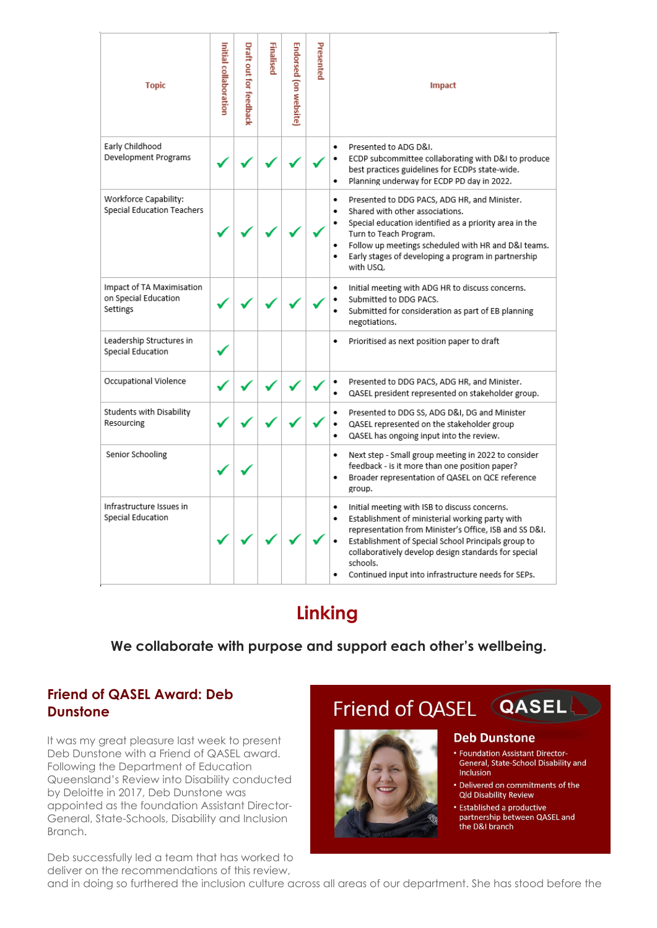| <b>Topic</b>                                                  | Initial collaboration | Draft out for feedback | Finalised | Endorsed (on website | Presented | <b>Impact</b>                                                                                                                                                                                                                                                                                                                                               |
|---------------------------------------------------------------|-----------------------|------------------------|-----------|----------------------|-----------|-------------------------------------------------------------------------------------------------------------------------------------------------------------------------------------------------------------------------------------------------------------------------------------------------------------------------------------------------------------|
| Early Childhood<br>Development Programs                       |                       |                        |           |                      |           | Presented to ADG D&I.<br>٠<br>ECDP subcommittee collaborating with D&I to produce<br>٠<br>best practices guidelines for ECDPs state-wide.<br>Planning underway for ECDP PD day in 2022.<br>٠                                                                                                                                                                |
| Workforce Capability:<br>Special Education Teachers           |                       |                        |           |                      |           | Presented to DDG PACS, ADG HR, and Minister.<br>٠<br>Shared with other associations.<br>٠<br>Special education identified as a priority area in the<br>٠<br>Turn to Teach Program.<br>Follow up meetings scheduled with HR and D&I teams.<br>٠<br>Early stages of developing a program in partnership<br>٠<br>with USQ.                                     |
| Impact of TA Maximisation<br>on Special Education<br>Settings |                       |                        |           |                      |           | Initial meeting with ADG HR to discuss concerns.<br>٠<br>Submitted to DDG PACS.<br>٠<br>Submitted for consideration as part of EB planning<br>٠<br>negotiations.                                                                                                                                                                                            |
| Leadership Structures in<br>Special Education                 |                       |                        |           |                      |           | Prioritised as next position paper to draft<br>٠                                                                                                                                                                                                                                                                                                            |
| Occupational Violence                                         |                       |                        |           |                      |           | Presented to DDG PACS, ADG HR, and Minister.<br>٠<br>QASEL president represented on stakeholder group.<br>٠                                                                                                                                                                                                                                                 |
| Students with Disability<br>Resourcing                        |                       |                        |           |                      |           | Presented to DDG SS, ADG D&I, DG and Minister<br>٠<br>QASEL represented on the stakeholder group<br>٠<br>QASEL has ongoing input into the review.<br>٠                                                                                                                                                                                                      |
| Senior Schooling                                              |                       |                        |           |                      |           | Next step - Small group meeting in 2022 to consider<br>٠<br>feedback - is it more than one position paper?<br>Broader representation of QASEL on QCE reference<br>٠<br>group.                                                                                                                                                                               |
| Infrastructure Issues in<br>Special Education                 |                       |                        |           |                      |           | Initial meeting with ISB to discuss concerns.<br>٠<br>Establishment of ministerial working party with<br>٠<br>representation from Minister's Office, ISB and SS D&I.<br>Establishment of Special School Principals group to<br>٠<br>collaboratively develop design standards for special<br>schools.<br>Continued input into infrastructure needs for SEPs. |

## **Linking**

## **We collaborate with purpose and support each other's wellbeing.**

### **Friend of QASEL Award: Deb Dunstone**

It was my great pleasure last week to present Deb Dunstone with a Friend of QASEL award. Following the Department of Education Queensland's Review into Disability conducted by Deloitte in 2017, Deb Dunstone was appointed as the foundation Assistant Director-General, State-Schools, Disability and Inclusion Branch.

Deb successfully led a team that has worked to deliver on the recommendations of this review,



and in doing so furthered the inclusion culture across all areas of our department. She has stood before the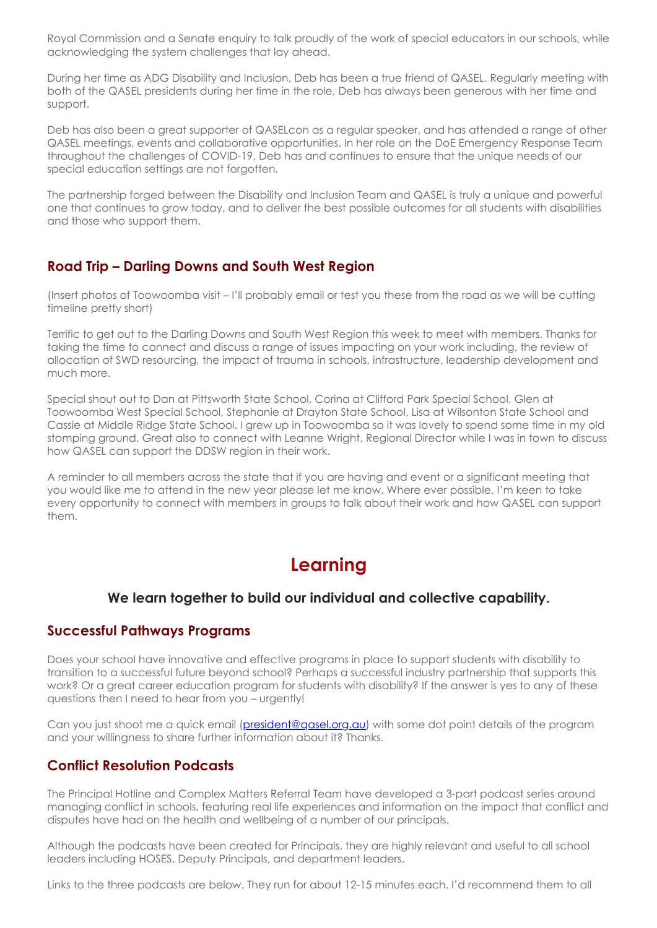Royal Commission and a Senate enquiry to talk proudly of the work of special educators in our schools, while acknowledging the system challenges that lay ahead.

During her time as ADG Disability and Inclusion, Deb has been a true friend of QASEL. Regularly meeting with both of the QASEL presidents during her time in the role, Deb has always been generous with her time and support.

Deb has also been a great supporter of QASELcon as a regular speaker, and has attended a range of other QASEL meetings, events and collaborative opportunities. In her role on the DoE Emergency Response Team throughout the challenges of COVID-19, Deb has and continues to ensure that the unique needs of our special education settings are not forgotten.

The partnership forged between the Disability and Inclusion Team and QASEL is truly a unique and powerful one that continues to grow today, and to deliver the best possible outcomes for all students with disabilities and those who support them.

#### **Road Trip – Darling Downs and South West Region**

(Insert photos of Toowoomba visit – I'll probably email or test you these from the road as we will be cutting timeline pretty short)

Terrific to get out to the Darling Downs and South West Region this week to meet with members. Thanks for taking the time to connect and discuss a range of issues impacting on your work including, the review of allocation of SWD resourcing, the impact of trauma in schools, infrastructure, leadership development and much more.

Special shout out to Dan at Pittsworth State School, Corina at Clifford Park Special School, Glen at Toowoomba West Special School, Stephanie at Drayton State School, Lisa at Wilsonton State School and Cassie at Middle Ridge State School. I grew up in Toowoomba so it was lovely to spend some time in my old stomping ground. Great also to connect with Leanne Wright, Regional Director while I was in town to discuss how QASEL can support the DDSW region in their work.

A reminder to all members across the state that if you are having and event or a significant meeting that you would like me to attend in the new year please let me know. Where ever possible, I'm keen to take every opportunity to connect with members in groups to talk about their work and how QASEL can support them.

# **Learning**

### **We learn together to build our individual and collective capability.**

#### **Successful Pathways Programs**

Does your school have innovative and effective programs in place to support students with disability to transition to a successful future beyond school? Perhaps a successful industry partnership that supports this work? Or a great career education program for students with disability? If the answer is yes to any of these questions then I need to hear from you – urgently!

Can you just shoot me a quick email ([president@qasel.org.au\)](mailto:president@qasel.org.au) with some dot point details of the program and your willingness to share further information about it? Thanks.

### **Conflict Resolution Podcasts**

The Principal Hotline and Complex Matters Referral Team have developed a 3-part podcast series around managing conflict in schools, featuring real life experiences and information on the impact that conflict and disputes have had on the health and wellbeing of a number of our principals.

Although the podcasts have been created for Principals, they are highly relevant and useful to all school leaders including HOSES, Deputy Principals, and department leaders.

Links to the three podcasts are below. They run for about 12-15 minutes each. I'd recommend them to all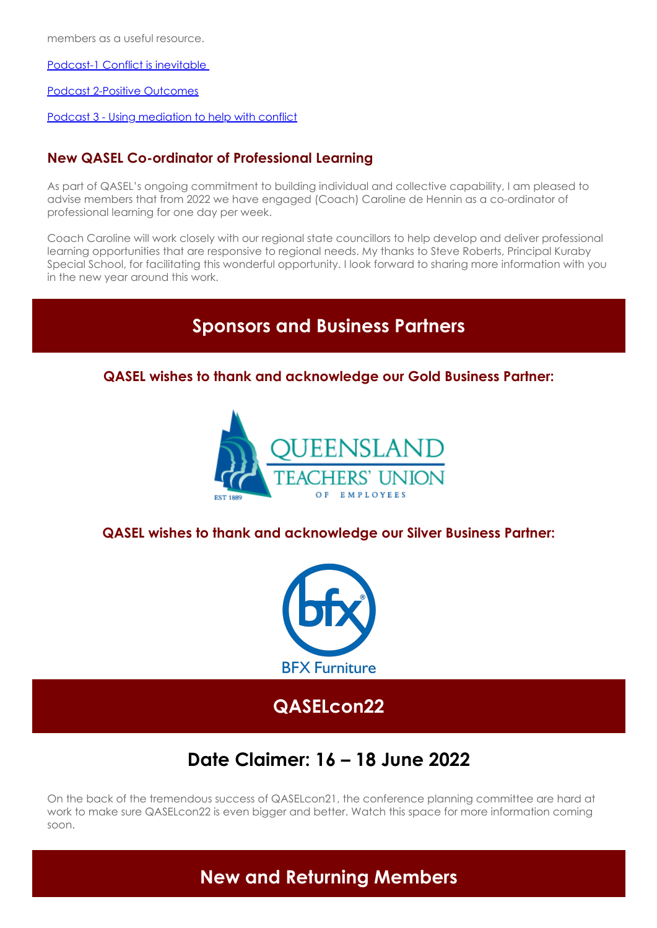members as a useful resource.

[Podcast-1 Conflict is inevitable](https://soundcloud.com/dete-4/principal-dispute-resolution-podcast-1-conflict-is-inevitable) 

[Podcast 2-Positive Outcomes](https://soundcloud.com/dete-4/principal-dispute-resolution-podcast-2-positive-outcomes)

[Podcast 3 - Using mediation to help with conflict](https://soundcloud.com/dete-4/principal-dispute-mediation-podcast-3-using-mediation-to-help-with-conflict)

### **New QASEL Co-ordinator of Professional Learning**

As part of QASEL's ongoing commitment to building individual and collective capability, I am pleased to advise members that from 2022 we have engaged (Coach) Caroline de Hennin as a co-ordinator of professional learning for one day per week.

Coach Caroline will work closely with our regional state councillors to help develop and deliver professional learning opportunities that are responsive to regional needs. My thanks to Steve Roberts, Principal Kuraby Special School, for facilitating this wonderful opportunity. I look forward to sharing more information with you in the new year around this work.

## **Sponsors and Business Partners**

**QASEL wishes to thank and acknowledge our Gold Business Partner:**



**QASEL wishes to thank and acknowledge our Silver Business Partner:**



**QASELcon22**

# **Date Claimer: 16 – 18 June 2022**

On the back of the tremendous success of QASELcon21, the conference planning committee are hard at work to make sure QASELcon22 is even bigger and better. Watch this space for more information coming soon.

**New and Returning Members**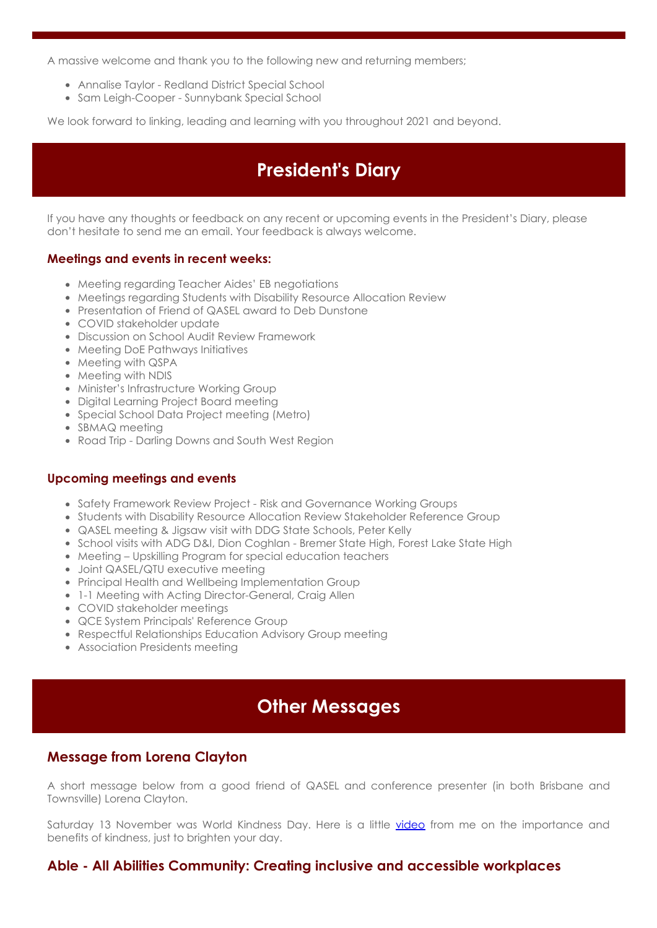A massive welcome and thank you to the following new and returning members;

- Annalise Taylor Redland District Special School
- Sam Leigh-Cooper Sunnybank Special School

We look forward to linking, leading and learning with you throughout 2021 and beyond.

## **President's Diary**

If you have any thoughts or feedback on any recent or upcoming events in the President's Diary, please don't hesitate to send me an email. Your feedback is always welcome.

#### **Meetings and events in recent weeks:**

- Meeting regarding Teacher Aides' EB negotiations
- Meetings regarding Students with Disability Resource Allocation Review
- Presentation of Friend of QASEL award to Deb Dunstone
- COVID stakeholder update
- Discussion on School Audit Review Framework
- Meeting DoE Pathways Initiatives
- Meeting with QSPA
- Meeting with NDIS
- Minister's Infrastructure Working Group
- Digital Learning Project Board meeting
- Special School Data Project meeting (Metro)
- SBMAQ meeting
- Road Trip Darling Downs and South West Region

#### **Upcoming meetings and events**

- Safety Framework Review Project Risk and Governance Working Groups
- Students with Disability Resource Allocation Review Stakeholder Reference Group
- QASEL meeting & Jigsaw visit with DDG State Schools, Peter Kelly
- School visits with ADG D&I, Dion Coghlan Bremer State High, Forest Lake State High
- Meeting Upskilling Program for special education teachers
- Joint QASEL/QTU executive meeting
- Principal Health and Wellbeing Implementation Group
- 1-1 Meeting with Acting Director-General, Craig Allen
- COVID stakeholder meetings
- QCE System Principals' Reference Group
- Respectful Relationships Education Advisory Group meeting
- Association Presidents meeting

## **Other Messages**

### **Message from Lorena Clayton**

A short message below from a good friend of QASEL and conference presenter (in both Brisbane and Townsville) Lorena Clayton.

Saturday 13 November was World Kindness Day. Here is a little [video](https://vimeo.com/644217418/53960f3c49) from me on the importance and benefits of kindness, just to brighten your day.

#### **Able - All Abilities Community: Creating inclusive and accessible workplaces**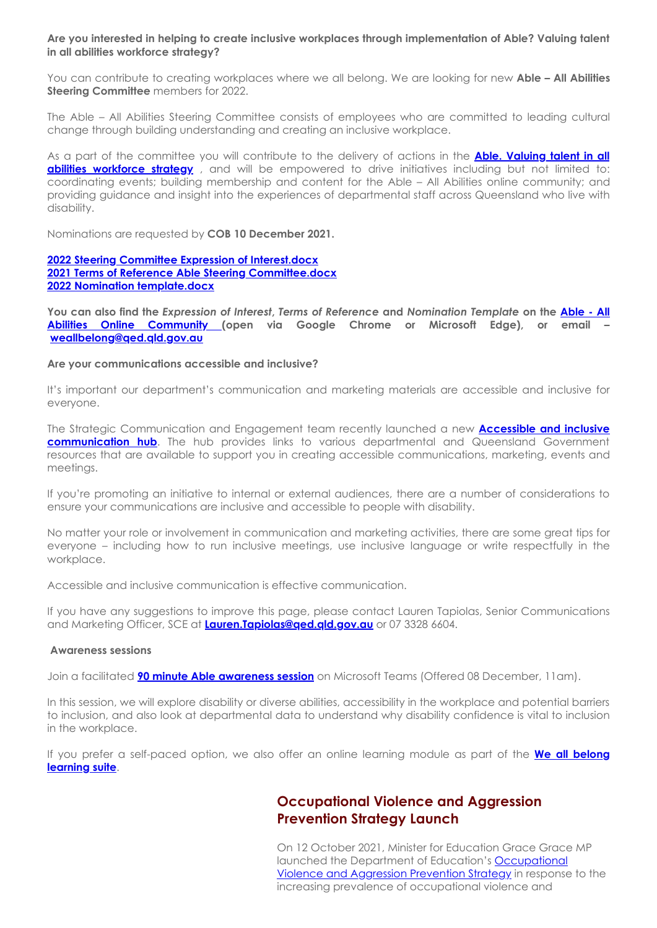**Are you interested in helping to create inclusive workplaces through implementation of Able? Valuing talent in all abilities workforce strategy?**

You can contribute to creating workplaces where we all belong. We are looking for new **Able – All Abilities Steering Committee** members for 2022.

The Able – All Abilities Steering Committee consists of employees who are committed to leading cultural change through building understanding and creating an inclusive workplace.

[As a part of the committee you will contribute to the delivery of actions in the](https://qed.qld.gov.au/workingwithus/induction/workingforthedepartment/humanresources/Documents/able-workforce-strategy.pdf) **Able. Valuing talent in all abilities workforce strategy**, and will be empowered to drive initiatives including but not limited to: coordinating events; building membership and content for the Able – All Abilities online community; and providing guidance and insight into the experiences of departmental staff across Queensland who live with disability.

Nominations are requested by **COB 10 December 2021.**

#### **[2022 Steering Committee Expression of Interest.docx](https://elearn.eq.edu.au/bbcswebdav/pid-455845-dt-announcement-rid-35845721_1/xid-35845721_1) [2021 Terms of Reference Able Steering Committee.docx](https://elearn.eq.edu.au/bbcswebdav/pid-455845-dt-announcement-rid-30820651_1/xid-30820651_1) [2022 Nomination template.docx](https://elearn.eq.edu.au/bbcswebdav/pid-455845-dt-announcement-rid-35845717_1/xid-35845717_1)**

**You can also find the** *Expression of Interest***,** *Terms of Reference* **and** *Nomination Template* **on the Able - All Abilities Online Community [\(open via Google Chrome or Microsoft Edge\), or email –](https://elearn.eq.edu.au/webapps/blackboard/content/listContent.jsp?course_id=_149265_1&content_id=_25113466_1&mode=reset) [weallbelong@qed.qld.gov.au](mailto:weallbelong@qed.qld.gov.au)** 

#### **Are your communications accessible and inclusive?**

It's important our department's communication and marketing materials are accessible and inclusive for everyone.

The Strategic Communication and Engagement team recently launched a new **Accessible and inclusive communication hub.** The hub provides links to various departmental and Queensland Government resources that are available to support you in creating accessible communications, marketing, events and meetings.

If you're promoting an initiative to internal or external audiences, there are a number of considerations to ensure your communications are inclusive and accessible to people with disability.

No matter your role or involvement in communication and marketing activities, there are some great tips for everyone – including how to run inclusive meetings, use inclusive language or write respectfully in the workplace.

Accessible and inclusive communication is effective communication.

If you have any suggestions to improve this page, please contact Lauren Tapiolas, Senior Communications and Marketing Officer, SCE at **[Lauren.Tapiolas@qed.qld.gov.au](mailto:Lauren.Tapiolas@qed.qld.gov.au)** or 07 3328 6604.

#### **Awareness sessions**

Join a facilitated **[90 minute Able awareness session](https://www.eventbrite.com.au/e/able-all-abilities-awareness-session-approx-90-minutes-tickets-157886549921)** on Microsoft Teams (Offered 08 December, 11am).

In this session, we will explore disability or diverse abilities, accessibility in the workplace and potential barriers to inclusion, and also look at departmental data to understand why disability confidence is vital to inclusion in the workplace.

[If you prefer a self-paced option, we also offer an online learning module as part of the](https://learningplace.eq.edu.au/CAMS/public/course/ViewCourseOccurrence.aspx?OccurrenceId=180164)  **We all belong learning suite**.

#### **Occupational Violence and Aggression Prevention Strategy Launch**

On 12 October 2021, Minister for Education Grace Grace MP launched the Department of Education's **Occupational** Violence and Aggression Prevention Strategy in response to the increasing prevalence of occupational violence and